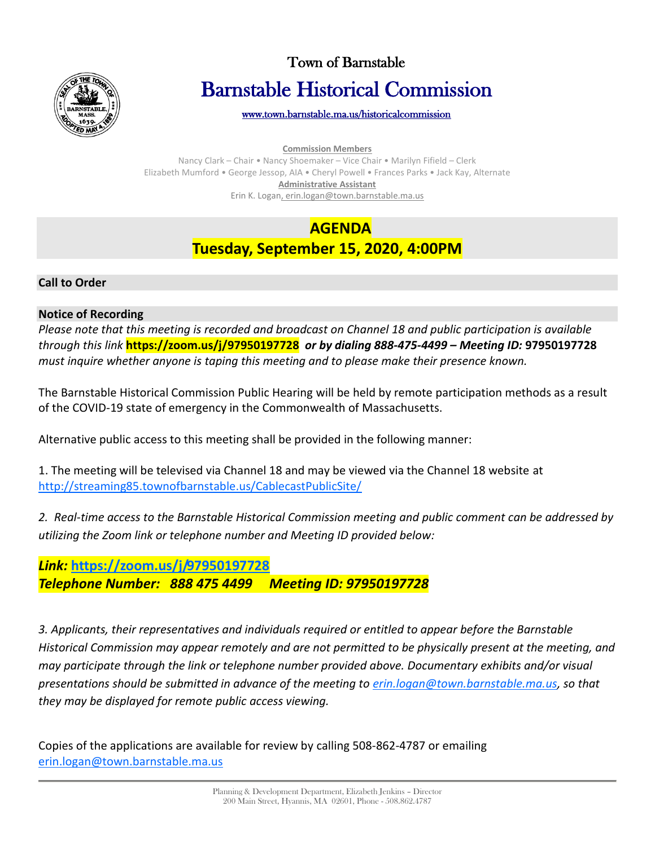

# Town of Barnstable Barnstable Historical Commission

[www.town.barnstable.ma.us/historicalcommission](http://www.town.barnstable.ma.us/historicalcommission) 

**Commission Members**

Nancy Clark – Chair • Nancy Shoemaker – Vice Chair • Marilyn Fifield – Clerk Elizabeth Mumford • George Jessop, AIA • Cheryl Powell • Frances Parks • Jack Kay, Alternate **Administrative Assistant** Erin K. Logan, erin.logan@town.barnstable.ma.us

# **AGENDA Tuesday, September 15, 2020, 4:00PM**

### **Call to Order**

### **Notice of Recording**

*Please note that this meeting is recorded and broadcast on Channel 18 and public participation is available through this link* **https://zoom.us/j/97950197728** *or by dialing 888-475-4499 – Meeting ID:* **97950197728** *must inquire whether anyone is taping this meeting and to please make their presence known.*

The Barnstable Historical Commission Public Hearing will be held by remote participation methods as a result of the COVID-19 state of emergency in the Commonwealth of Massachusetts.

Alternative public access to this meeting shall be provided in the following manner:

1. The meeting will be televised via Channel 18 and may be viewed via the Channel 18 website at <http://streaming85.townofbarnstable.us/CablecastPublicSite/>

*2. Real-time access to the Barnstable Historical Commission meeting and public comment can be addressed by utilizing the Zoom link or telephone number and Meeting ID provided below:*

## *Link:* **<https://zoom.us/j/97950197728>** *Telephone Number: 888 475 4499 Meeting ID: 97950197728*

*3. Applicants, their representatives and individuals required or entitled to appear before the Barnstable Historical Commission may appear remotely and are not permitted to be physically present at the meeting, and may participate through the link or telephone number provided above. Documentary exhibits and/or visual presentations should be submitted in advance of the meeting to [erin.logan@town.barnstable.ma.us,](mailto:erin.logan@town.barnstable.ma.us) so that they may be displayed for remote public access viewing.*

Copies of the applications are available for review by calling 508-862-4787 or emailing [erin.logan@town.barnstable.ma.us](mailto:erin.logan@town.barnstable.ma.us)